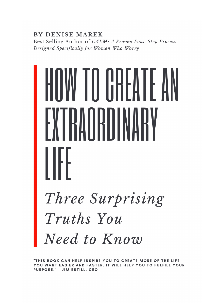**BY DENISE MAREK** 

Best Selling Author of CALM: A Proven Four-Step Process Designed Specifically for Women Who Worry

# IW TII GBFATF A Three Surprising Truths You Need to Know

"THIS BOOK CAN HELP INSPIRE YOU TO CREATE MORE OF THE LIFE YOU WANT EASIER AND FASTER. IT WILL HELP YOU TO FULFILL YOUR PURPOSE." -- JIM ESTILL, CEO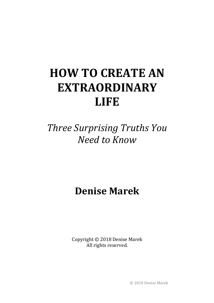# **HOW TO CREATE AN EXTRAORDINARY LIFE**

*Three Surprising Truths You Need to Know*

**Denise Marek**

Copyright  $©$  2018 Denise Marek All rights reserved.

© 2018 Denise Marek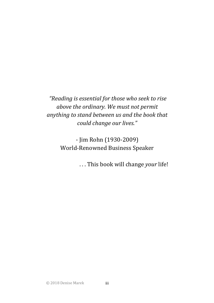*"Reading is essential for those who seek to rise above the ordinary.* We must not permit anything to stand between us and the book that *could change our lives."*

> - Jim Rohn (1930-2009) World-Renowned Business Speaker

> > ... This book will change *your* life!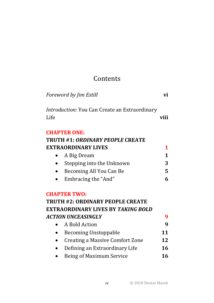# Contents

|      | Foreword by Jim Estill                        | vi           |
|------|-----------------------------------------------|--------------|
| Life | Introduction: You Can Create an Extraordinary | viii         |
|      | <b>CHAPTER ONE:</b>                           |              |
|      | <b>TRUTH #1: ORDINARY PEOPLE CREATE</b>       |              |
|      | <b>EXTRAORDINARY LIVES</b>                    | 1            |
|      | A Big Dream                                   | $\mathbf{1}$ |
|      | Stepping into the Unknown                     | 3            |
|      | Becoming All You Can Be                       | 5            |
|      | Embracing the "And"                           | 6            |
|      | <b>CHAPTER TWO:</b>                           |              |
|      | <b>TRUTH #2: ORDINARY PEOPLE CREATE</b>       |              |
|      | <b>EXTRAORDINARY LIVES BY TAKING BOLD</b>     |              |
|      | ACTION UNCEASINGLY                            | 9            |
|      | A Bold Action                                 | 9            |
|      | <b>Becoming Unstoppable</b>                   | 11           |
|      | <b>Creating a Massive Comfort Zone</b>        | 12           |
|      | Defining an Extraordinary Life                | 16           |
|      | <b>Being of Maximum Service</b>               | 16           |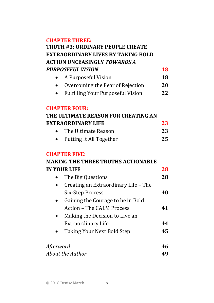### **CHAPTER THREE:**

### **TRUTH #3: ORDINARY PEOPLE CREATE EXTRAORDINARY LIVES BY TAKING BOLD ACTION UNCEASINGLY** *TOWARDS A*  **PURPOSEFUL VISION 18**

| A Purposeful Vision | 18 |
|---------------------|----|
|                     |    |

- Overcoming the Fear of Rejection 20
- Fulfilling Your Purposeful Vision **22**

### **CHAPTER FOUR:**

# **THE ULTIMATE REASON FOR CREATING AN EXTRAORDINARY LIFE** 23

| The Ultimate Reason |  |
|---------------------|--|
| $T = 11.7$          |  |

• Putting It All Together **25** 

### **CHAPTER FIVE:**

### **MAKING THE THREE TRUTHS ACTIONABLE IN YOUR LIFE** 28

|  | The Big Questions                    | 28 |
|--|--------------------------------------|----|
|  | Creating an Extraordinary Life - The |    |
|  | Six-Step Process                     | 40 |
|  | Gaining the Courage to be in Bold    |    |
|  | <b>Action - The CALM Process</b>     | 41 |
|  | Making the Decision to Live an       |    |
|  | <b>Extraordinary Life</b>            |    |
|  | Taking Your Next Bold Step           | 45 |
|  |                                      |    |
|  |                                      |    |

| Afterword        | 46 |
|------------------|----|
| About the Author | 49 |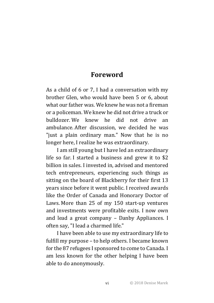### **Foreword**

As a child of  $6$  or  $7$ , I had a conversation with my brother Glen, who would have been 5 or 6, about what our father was. We knew he was not a fireman or a policeman. We knew he did not drive a truck or bulldozer. We knew he did not drive an ambulance. After discussion, we decided he was "just a plain ordinary man." Now that he is no longer here. I realize he was extraordinary.

I am still young but I have led an extraordinary life so far. I started a business and grew it to  $$2$ billion in sales. I invested in, advised and mentored tech entrepreneurs, experiencing such things as sitting on the board of Blackberry for their first 13 years since before it went public. I received awards like the Order of Canada and Honorary Doctor of Laws. More than  $25$  of my  $150$  start-up ventures and investments were profitable exits. I now own and lead a great company - Danby Appliances. I often say, "I lead a charmed life."

I have been able to use my extraordinary life to fulfill my purpose – to help others. I became known for the 87 refugees I sponsored to come to Canada. I am less known for the other helping I have been able to do anonymously.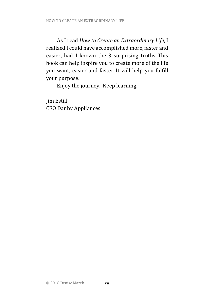As I read *How to Create an Extraordinary Life*, I realized I could have accomplished more, faster and easier, had I known the 3 surprising truths. This book can help inspire you to create more of the life you want, easier and faster. It will help you fulfill your purpose.

Enjoy the journey. Keep learning.

Jim Estill CEO Danby Appliances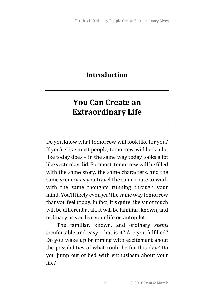### **Introduction**

# **You Can Create an Extraordinary Life**

Do you know what tomorrow will look like for you? If you're like most people, tomorrow will look a lot like today does  $-$  in the same way today looks a lot like yesterday did. For most, tomorrow will be filled with the same story, the same characters, and the same scenery as you travel the same route to work with the same thoughts running through your mind. You'll likely even *feel* the same way tomorrow that you feel today. In fact, it's quite likely not much will be different at all. It will be familiar, known, and ordinary as you live your life on autopilot.

The familiar, known, and ordinary *seems* comfortable and easy  $-$  but is it? Are you fulfilled? Do you wake up brimming with excitement about the possibilities of what could be for this day? Do you jump out of bed with enthusiasm about your life?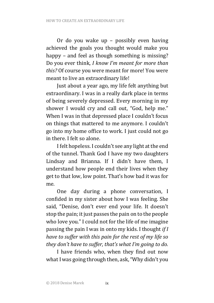Or do you wake up – possibly even having achieved the goals you thought would make you happy – and feel as though something is missing? Do you ever think, *I know I'm meant for more than this?* Of course you were meant for more! You were meant to live an extraordinary life!

Just about a year ago, my life felt anything but extraordinary. I was in a really dark place in terms of being severely depressed. Every morning in my shower I would cry and call out, "God, help me." When I was in that depressed place I couldn't focus on things that mattered to me anymore. I couldn't go into my home office to work. I just could not go in there. I felt so alone.

I felt hopeless. I couldn't see any light at the end of the tunnel. Thank God I have my two daughters Lindsay and Brianna. If I didn't have them, I understand how people end their lives when they get to that low, low point. That's how bad it was for me. 

One day during a phone conversation, I confided in my sister about how I was feeling. She said, "Denise, don't ever end your life. It doesn't stop the pain; it just passes the pain on to the people who love you." I could not for the life of me imagine passing the pain I was in onto my kids. I thought *if I have to suffer with this pain for the rest of my life so they don't have to suffer, that's what I'm going to do.* 

I have friends who, when they find out now what I was going through then, ask, "Why didn't you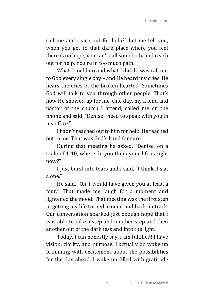call me and reach out for help?" Let me tell you, when you get to that dark place where you feel there is no hope, you can't call somebody and reach out for help. You're in too much pain.

What I could do and what I did do was call out to God every single day – and He heard my cries. He hears the cries of the broken-hearted. Sometimes God will talk to you through other people. That's how He showed up for me. One day, my friend and pastor of the church I attend, called me on the phone and said, "Denise I need to speak with you in my office."

I hadn't reached out to him for help. He reached out to me. That was God's hand for sure.

During that meeting he asked, "Denise, on a scale of 1-10, where do you think your life is right now?"

I just burst into tears and I said, "I think it's at  $3$  One"

He said, "Oh, I would have given you at least a four." That made me laugh for a moment and lightened the mood. That meeting was the first step in getting my life turned around and back on track. Our conversation sparked just enough hope that I was able to take a step and another step and then another out of the darkness and into the light.

Today, I can honestly say, I am fulfilled! I have vision, clarity, and purpose. I actually do wake up brimming with excitement about the possibilities for the day ahead. I wake up filled with gratitude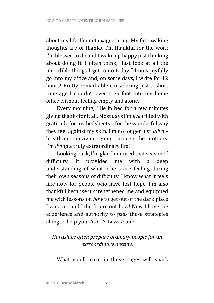about my life. I'm not exaggerating. My first waking thoughts are of thanks. I'm thankful for the work I'm blessed to do and I wake up happy just thinking about doing it. I often think, "Just look at all the incredible things I get to do today!" I now joyfully go into my office and, on some days, I write for 12 hours! Pretty remarkable considering just a short time ago I couldn't even step foot into my home office without feeling empty and alone.

Every morning, I lie in bed for a few minutes giving thanks for it all. Most days I'm *even* filled with gratitude for my bedsheets  $-$  for the wonderful way they feel against my skin. I'm no longer just *alive* breathing, surviving, going through the motions. I'm *living* a truly extraordinary life!

Looking back, I'm glad I endured that season of difficulty. It provided me with a deep understanding of what others are feeling during their own seasons of difficulty. I know what it feels like now for people who have lost hope. I'm also thankful because it strengthened me and equipped me with lessons on *how* to get out of the dark place I was in – and I did figure out how! Now I have the experience and authority to pass these strategies along to help you! As C. S. Lewis said:

### *Hardships often prepare ordinary people for an extraordinary destiny.*

What you'll learn in these pages will spark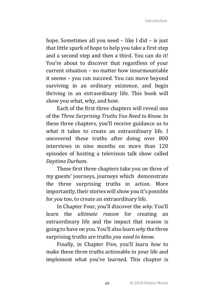hope. Sometimes all you need  $-$  like I did  $-$  is just that little spark of hope to help you take a first step and a second step and then a third. You can do it! You're about to discover that regardless of your current situation – no matter how insurmountable it seems - you can succeed. You can move beyond surviving in an ordinary existence, and begin thriving in an extraordinary life. This book will show you what, why, and how.

Each of the first three chapters will reveal one of the *Three Surprising Truths You Need to Know.* In these three chapters, you'll receive guidance as to *what* it takes to create an extraordinary life. I uncovered these truths after doing over 800 interviews in nine months on more than 120 episodes of hosting a television talk show called *Daytime Durham*.

These first three chapters take you on three of my guests' journeys, journeys which demonstrate the three surprising truths in action. More importantly, their stories will show you it's possible for *you* too, to create an extraordinary life.

In Chapter Four, you'll discover the *why*. You'll learn the *ultimate reason* for creating an extraordinary life and the impact that reason is going to have on you. You'll also learn *why* the three surprising truths are truths *you need to know.* 

Finally, in Chapter Five, you'll learn *how* to make these three truths actionable in your life and implement what you've learned. This chapter is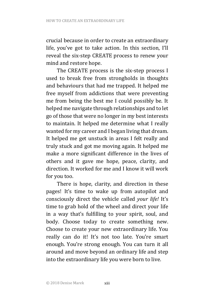crucial because in order to create an extraordinary life, you've got to take action. In this section, I'll reveal the six-step CREATE process to renew your mind and restore hope.

The CREATE process is the six-step process I used to break free from strongholds in thoughts and behaviours that had me trapped. It helped me free myself from addictions that were preventing me from being the best me I could possibly be. It helped me navigate through relationships and to let go of those that were no longer in my best interests to maintain. It helped me determine what I really wanted for my career and I began living that dream. It helped me get unstuck in areas I felt really and truly stuck and got me moving again. It helped me make a more significant difference in the lives of others and it gave me hope, peace, clarity, and direction. It worked for me and I know it will work for you too.

There is hope, clarity, and direction in these pages! It's time to wake up from autopilot and consciously direct the vehicle called *your life!* It's time to grab hold of the wheel and direct your life in a way that's fulfilling to your spirit, soul, and body. Choose today to create something new. Choose to create your new extraordinary life. You really can do it! It's not too late. You're smart enough. You're strong enough. You can turn it all around and move beyond an ordinary life and step into the extraordinary life you were born to live.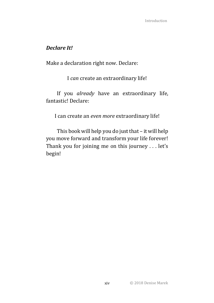### *Declare It!*

Make a declaration right now. Declare:

I can create an extraordinary life!

If you *already* have an extraordinary life, fantastic! Declare:

I can create an *even more* extraordinary life!

This book will help you do just that  $-$  it will help you move forward and transform your life forever! Thank you for joining me on this journey  $\dots$  let's begin!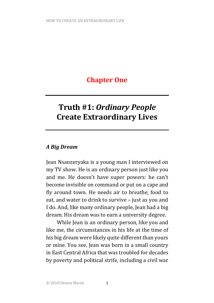### **Chapter One**

# **Truth #1:** *Ordinary People* **Create Extraordinary Lives**

### *A Big Dream*

Jean Nsanzeryaka is a young man I interviewed on my TV show. He is an ordinary person just like you and me. He doesn't have super powers: he can't become invisible on command or put on a cape and fly around town. He needs air to breathe, food to eat, and water to drink to survive – just as you and I do. And, like many ordinary people, Jean had a big dream. His dream was to earn a university degree.

While Jean is an ordinary person, like you and like me, the circumstances in his life at the time of his big dream were likely quite different than yours or mine. You see, Jean was born in a small country in East Central Africa that was troubled for decades by poverty and political strife, including a civil war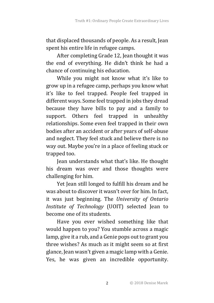that displaced thousands of people. As a result, Jean spent his entire life in refugee camps.

After completing Grade 12, Jean thought it was the end of everything. He didn't think he had a chance of continuing his education.

While you might not know what it's like to grow up in a refugee camp, perhaps you know what it's like to feel trapped. People feel trapped in different ways. Some feel trapped in jobs they dread because they have bills to pay and a family to support. Others feel trapped in unhealthy relationships. Some even feel trapped in their own bodies after an accident or after years of self-abuse and neglect. They feel stuck and believe there is no way out. Maybe you're in a place of feeling stuck or trapped too.

Iean understands what that's like. He thought his dream was over and those thoughts were challenging for him.

Yet Jean still longed to fulfill his dream and he was about to discover it wasn't over for him. In fact, it was just beginning. The *University of Ontario Institute of Technology* (UOIT) selected Jean to become one of its students.

Have you ever wished something like that would happen to you? You stumble across a magic lamp, give it a rub, and a Genie pops out to grant you three wishes? As much as it might seem so at first glance, Jean wasn't given a magic lamp with a Genie. Yes, he was given an incredible opportunity.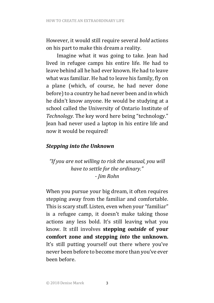However, it would still require several *bold* actions on his part to make this dream a reality.

Imagine what it was going to take. Iean had lived in refugee camps his entire life. He had to leave behind all he had ever known. He had to leave what was familiar. He had to leave his family, fly on a plane (which, of course, he had never done before) to a country he had never been and in which he didn't know anyone. He would be studying at a school called the University of Ontario Institute of *Technology.* The key word here being "technology." Jean had never used a laptop in his entire life and now it would be required!

### *Stepping into the Unknown*

*"If* you are not willing to risk the unusual, you will have to settle for the ordinary." *- Jim Rohn*

When you pursue your big dream, it often requires stepping away from the familiar and comfortable. This is scary stuff. Listen, even when your "familiar" is a refugee camp, it doesn't make taking those actions any less bold. It's still leaving what you know. It still involves **stepping**  *outside*  **of your**  comfort zone and stepping *into* the unknown. It's still putting yourself out there where you've never been before to become more than you've ever been before.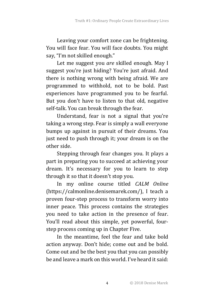Leaving your comfort zone can be frightening. You will face fear. You will face doubts. You might say, "I'm not skilled enough."

Let me suggest you are skilled enough. May I suggest you're just hiding? You're just afraid. And there is nothing wrong with being afraid. We are programmed to withhold, not to be bold. Past experiences have programmed you to be fearful. But you don't have to listen to that old, negative self-talk. You can break through the fear.

Understand, fear is not a signal that you're taking a wrong step. Fear is simply a wall everyone bumps up against in pursuit of their dreams. You just need to push through it; your dream is on the other side.

Stepping through fear changes you. It plays a part in preparing you to succeed at achieving your dream. It's necessary for you to learn to step through it so that it doesn't stop you.

In my online course titled *CALM Online* (https://calmonline.denisemarek.com/), I teach a proven four-step process to transform worry into inner peace. This process contains the strategies you need to take action in the presence of fear. You'll read about this simple, yet powerful, fourstep process coming up in Chapter Five.

In the meantime, feel the fear and take bold action anyway. Don't hide; come out and be bold. Come out and be the best you that you can possibly be and leave a mark on this world. I've heard it said: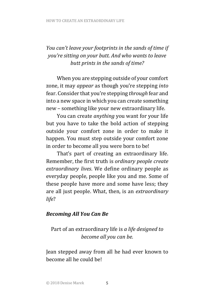### *You can't leave your footprints in the sands of time if you're sitting on your butt. And who wants to leave* butt prints in the sands of time?

When you are stepping outside of your comfort zone, it may *appear* as though you're stepping *into* fear. Consider that you're stepping *through* fear and into a new space in which you can create something new – something like your new extraordinary life.

You can create *anything* you want for your life but you have to take the bold action of stepping outside your comfort zone in order to make it happen. You must step outside your comfort zone in order to become all you were born to be!

That's part of creating an extraordinary life. Remember, the first truth is *ordinary people create* extraordinary lives. We define ordinary people as everyday people, people like you and me. Some of these people have more and some have less; they are all just people. What, then, is an *extraordinary life*? 

### *Becoming All You Can Be*

Part of an extraordinary life is *a* life designed to become all you can be.

Jean stepped away from all he had ever known to become all he could be!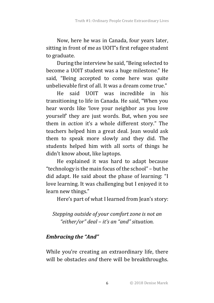Now, here he was in Canada, four years later, sitting in front of me as UOIT's first refugee student to graduate.

During the interview he said, "Being selected to become a UOIT student was a huge milestone." He said, "Being accepted to come here was quite unbelievable first of all. It was a dream come true."

He said UOIT was incredible in his transitioning to life in Canada. He said, "When you hear words like 'love your neighbor as you love yourself' they are just words. But, when you see them in *action* it's a whole different story." The teachers helped him a great deal. Jean would ask them to speak more slowly and they did. The students helped him with all sorts of things he didn't know about, like laptops.

He explained it was hard to adapt because "technology is the main focus of the school"  $-$  but he did adapt. He said about the phase of learning: "I love learning. It was challenging but I enjoyed it to learn new things."

Here's part of what I learned from Jean's story:

*Stepping outside of your comfort zone is not an "either/or" deal – it's an "and" situation.*

### *Embracing the "And"*

While you're creating an extraordinary life, there will be obstacles *and* there will be breakthroughs.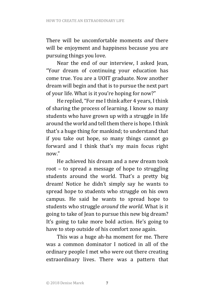There will be uncomfortable moments *and* there will be enjoyment and happiness because you are pursuing things you love.

Near the end of our interview, I asked Jean, "Your dream of continuing your education has come true. You are a UOIT graduate. Now another dream will begin and that is to pursue the next part of your life. What is it you're hoping for now?"

He replied, "For me I think after 4 years, I think of sharing the process of learning. I know so many students who have grown up with a struggle in life around the world and tell them there is hope. I think that's a huge thing for mankind; to understand that if you take out hope, so many things cannot go forward and I think that's my main focus right now"

He achieved his dream and a new dream took root  $-$  to spread a message of hope to struggling students around the world. That's a pretty big dream! Notice he didn't simply say he wants to spread hope to students who struggle on his own campus. He said he wants to spread hope to students who struggle *around the world*. What is it going to take of Jean to pursue this new big dream? It's going to take more bold action. He's going to have to step outside of his comfort zone again.

This was a huge ah-ha moment for me. There was a common dominator I noticed in all of the ordinary people I met who were out there creating extraordinary lives. There was a pattern that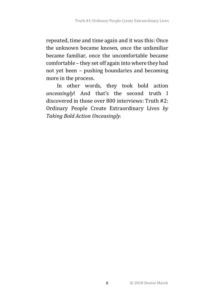repeated, time and time again and it was this: Once the unknown became known, once the unfamiliar became familiar, once the uncomfortable became comfortable - they set off again into where they had not yet been – pushing boundaries and becoming more in the process.

In other words, they took bold action *unceasingly*! And that's the second truth I discovered in those over 800 interviews: Truth #2: Ordinary People Create Extraordinary Lives by **Taking Bold Action Unceasingly.**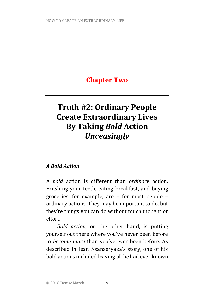## **Chapter Two**

# **Truth #2: Ordinary People Create Extraordinary Lives By Taking** *Bold* **Action** *Unceasingly*

### *A Bold Action*

A *bold* action is different than *ordinary* action. Brushing your teeth, eating breakfast, and buying groceries, for example, are  $-$  for most people  $$ ordinary actions. They may be important to do, but they're things you can do without much thought or effort. 

*Bold action*, on the other hand, is putting yourself out there where you've never been before to *become more* than you've ever been before. As described in Jean Nsanzeryaka's story, one of his bold actions included leaving all he had ever known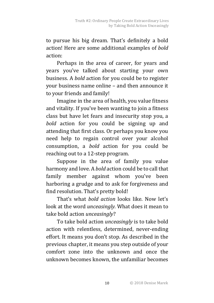to pursue his big dream. That's definitely a bold action! Here are some additional examples of *bold* action:

Perhaps in the area of career, for years and years you've talked about starting your own business. A *bold* action for you could be to register your business name online – and then announce it to your friends and family!

Imagine in the area of health, you value fitness and vitality. If you've been wanting to join a fitness class but have let fears and insecurity stop you, a *bold*  action for you could be signing up and attending that first class. Or perhaps you know you need help to regain control over your alcohol consumption, a *bold* action for you could be reaching out to a 12-step program.

Suppose in the area of family you value harmony and love. A *bold* action could be to call that family member against whom you've been harboring a grudge and to ask for forgiveness and find resolution. That's pretty bold!

That's what *hold action* looks like. Now let's look at the word *unceasingly*. What does it mean to take bold action *unceasingly*?

To take bold action *unceasingly* is to take bold action with relentless, determined, never-ending effort. It means you don't stop. As described in the previous chapter, it means you step outside of your comfort zone into the unknown and once the unknown becomes known, the unfamiliar becomes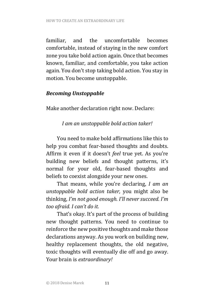familiar, and the uncomfortable becomes comfortable, instead of staying in the new comfort zone you take bold action again. Once that becomes known, familiar, and comfortable, you take action again. You don't stop taking bold action. You stay in motion. You become unstoppable.

### *Becoming Unstoppable*

Make another declaration right now. Declare:

*I am an unstoppable bold action taker!*

You need to make hold affirmations like this to help you combat fear-based thoughts and doubts. Affirm it even if it doesn't *feel* true yet. As you're building new beliefs and thought patterns, it's normal for your old, fear-based thoughts and beliefs to coexist alongside your new ones.

That means, while you're declaring, *I am an unstoppable bold action taker, you might also be* thinking, I'm not good enough. I'll never succeed. I'm *too afraid. I can't do it.*

That's okay. It's part of the process of building new thought patterns. You need to continue to reinforce the new positive thoughts and make those declarations anyway. As you work on building new, healthy replacement thoughts, the old negative, toxic thoughts will eventually die off and go away. Your brain is *extraordinary!*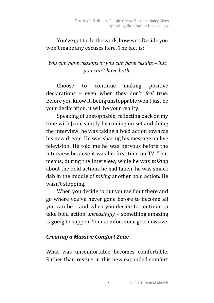### You've got to do the work, however. Decide you won't make any excuses here. The fact is:

### *You can have reasons or you can have results – but you can't have both.*

Choose to continue making positive declarations - even when they don't *feel* true. Before you know it, being unstoppable won't just be your declaration, it will be your reality.

Speaking of unstoppable, reflecting back on my time with Jean, simply by coming on set and doing the interview, he was taking a bold action towards his new dream. He was sharing his message on live television. He told me he was nervous before the interview because it was his first time on TV. That means, during the interview, while he was *talking* about the bold actions he had taken, he was smack dab in the middle of *taking* another bold action. He wasn't stopping.

When you decide to put yourself out there and go where you've never gone before to become all you can be – and when you decide to continue to take bold action *unceasingly* – something amazing is going to happen. Your comfort zone gets massive.

### *Creating a Massive Comfort Zone*

What was uncomfortable becomes comfortable. Rather than resting in this new expanded comfort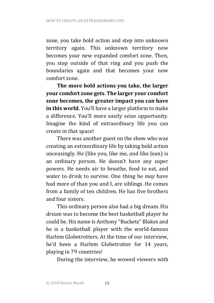zone, you take bold action and step into unknown territory again. This unknown territory now becomes your new expanded comfort zone. Then, you step outside of that ring and you push the boundaries again and that becomes your new comfort zone.

The more bold actions you take, the larger **your comfort zone gets. The larger your comfort** zone becomes, the greater impact you can have **in this world.** You'll have a larger platform to make a difference. You'll more easily seize opportunity. Imagine the kind of extraordinary life you can create in that space!

There was another guest on the show who was creating an extraordinary life by taking bold action unceasingly. He (like you, like me, and like Jean) is an ordinary person. He doesn't have any super powers. He needs air to breathe, food to eat, and water to drink to survive. One thing he *may* have had more of than you and I, are siblings. He comes from a family of ten children. He has five brothers and four sisters.

This ordinary person also had a big dream. His dream was to become the best basketball player he could be. His name is Anthony "Buckets" Blakes and he is a basketball player with the world-famous Harlem Globetrotters. At the time of our interview, he'd been a Harlem Globetrotter for 14 years, playing in 79 countries!

During the interview, he wowed viewers with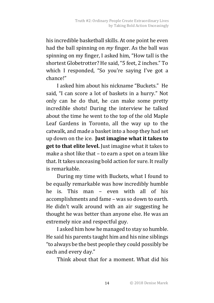his incredible basketball skills. At one point he even had the ball spinning on *my* finger. As the ball was spinning on my finger, I asked him, "How tall is the shortest Globetrotter? He said, "5 feet, 2 inches." To which I responded, "So you're saying I've got a chance!"

I asked him about his nickname "Buckets." He said, "I can score a lot of baskets in a hurry." Not only can he do that, he can make some pretty incredible shots! During the interview he talked about the time he went to the top of the old Maple Leaf Gardens in Toronto, all the way up to the catwalk, and made a basket into a hoop they had set up down on the ice. Just imagine what it takes to **get to that elite level.** Just imagine what it takes to make a shot like that  $-$  to earn a spot on a team like that. It takes unceasing bold action for sure. It really is remarkable.

During my time with Buckets, what I found to be equally remarkable was how incredibly humble he is. This man – even with all of his accomplishments and fame – was so down to earth. He didn't walk around with an air suggesting he thought he was better than anyone else. He was an extremely nice and respectful guy.

I asked him how he managed to stay so humble. He said his parents taught him and his nine siblings "to always be the best people they could possibly be each and every day."

Think about that for a moment. What did his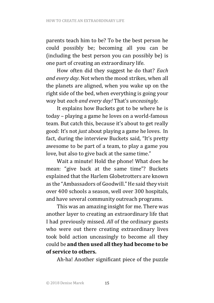parents teach him to be? To be the best person he could possibly be; becoming all you can be (including the best person you can possibly be) is one part of creating an extraordinary life.

How often did they suggest he do that? *Each* and every day. Not when the mood strikes, when all the planets are aligned, when you wake up on the right side of the bed, when everything is going your way but each and every day! That's unceasingly.

It explains how Buckets got to be where he is today - playing a game he loves on a world-famous team. But catch this, because it's about to get really good: It's not *just* about playing a game he loves. In fact, during the interview Buckets said, "It's pretty awesome to be part of a team, to play a game you love, but also to give back at the same time."

Wait a minute! Hold the phone! What does he mean: "give back at the same time"? Buckets explained that the Harlem Globetrotters are known as the "Ambassadors of Goodwill." He said they visit over 400 schools a season, well over 300 hospitals, and have several community outreach programs.

This was an amazing insight for me. There was another layer to creating an extraordinary life that I had previously missed. *All* of the ordinary guests who were out there creating extraordinary lives took bold action unceasingly to become all they could be and then used all they had become to be **of service to others.**

Ah-ha! Another significant piece of the puzzle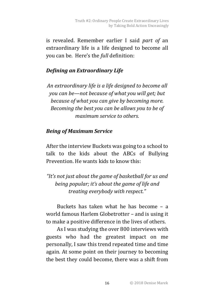is revealed. Remember earlier I said *part of* an extraordinary life is a life designed to become all you can be. Here's the *full* definition:

### *Defining an Extraordinary Life*

*An extraordinary life is a life designed to become all you* can be—not because of what you will get; but *because of what you can give by becoming more. Becoming the best you can be allows you to be of maximum service to others.* 

### *Being of Maximum Service*

After the interview Buckets was going to a school to talk to the kids about the ABCs of Bullying Prevention. He wants kids to know this:

"It's not just about the game of basketball for us and *being popular; it's about the game of life and treating everybody with respect."*

Buckets has taken what he has become  $-$  a world famous Harlem Globetrotter - and is using it to make a positive difference in the lives of others.

As I was studying the over 800 interviews with guests who had the greatest impact on me personally, I saw this trend repeated time and time again. At some point on their journey to becoming the best they could become, there was a shift from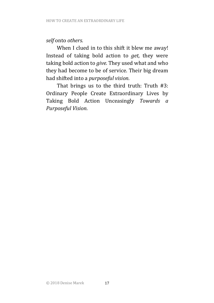### *self* onto *others.*

When I clued in to this shift it blew me away! Instead of taking bold action to *get,* they were taking bold action to *give*. They used what and who they had become to be of service. Their big dream had shifted into a *purposeful* vision.

That brings us to the third truth: Truth  $#3$ : Ordinary People Create Extraordinary Lives by Taking Bold Action Unceasingly *Towards a Purposeful Vision.*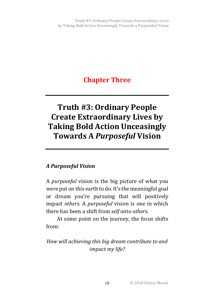### **Chapter Three**

# **Truth #3: Ordinary People Create Extraordinary Lives by Taking Bold Action Unceasingly Towards A Purposeful Vision**

### *A Purposeful Vision*

A *purposeful* vision is the big picture of what you were put on this earth to do. It's the meaningful goal or dream vou're pursuing that will positively impact *others.* A *purposeful* vision is one in which there has been a shift from *self* onto *others.* 

At some point on the journey, the focus shifts from:

*How will achieving this big dream contribute to and impact my life?*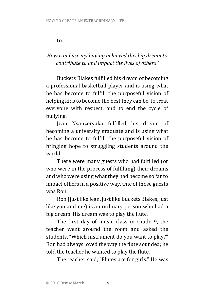to:

### *How can I use my having achieved this big dream to contribute to and impact the lives of others?*

Buckets Blakes fulfilled his dream of becoming a professional basketball player and is using what he has become to fulfill the purposeful vision of helping kids to become the best they can be, to treat everyone with respect, and to end the cycle of bullying.

Jean Nsanzeryaka fulfilled his dream of becoming a university graduate and is using what he has become to fulfill the purposeful vision of bringing hope to struggling students around the world.

There were many guests who had fulfilled (or who were in the process of fulfilling) their dreams and who were using what they had become so far to impact others in a positive way. One of those guests was Ron. 

Ron (just like Jean, just like Buckets Blakes, just like you and me) is an ordinary person who had a big dream. His dream was to play the flute.

The first day of music class in Grade 9, the teacher went around the room and asked the students, "Which instrument do you want to play?" Ron had always loved the way the flute sounded; he told the teacher he wanted to play the flute.

The teacher said, "Flutes are for girls." He was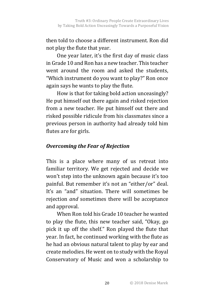then told to choose a different instrument. Ron did not play the flute that year.

One vear later, it's the first day of music class in Grade 10 and Ron has a new teacher. This teacher went around the room and asked the students, "Which instrument do you want to play?" Ron once again says he wants to play the flute.

How is that for taking bold action unceasingly? He put himself out there again and risked rejection from a new teacher. He put himself out there and risked possible ridicule from his classmates since a previous person in authority had already told him flutes are for girls.

### **Overcoming the Fear of Rejection**

This is a place where many of us retreat into familiar territory. We get rejected and decide we won't step into the unknown again because it's too painful. But remember it's not an "either/or" deal. It's an "and" situation. There will sometimes be rejection *and* sometimes there will be acceptance and approval.

When Ron told his Grade 10 teacher he wanted to play the flute, this new teacher said, "Okay, go pick it up off the shelf." Ron played the flute that year. In fact, he continued working with the flute as he had an obvious natural talent to play by ear and create melodies. He went on to study with the Royal Conservatory of Music and won a scholarship to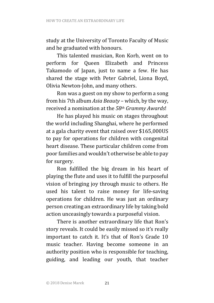study at the University of Toronto Faculty of Music and he graduated with honours.

This talented musician, Ron Korb, went on to perform for Queen Elizabeth and Princess Takamodo of Japan, just to name a few. He has shared the stage with Peter Gabriel, Liona Boyd, Olivia Newton-John, and many others.

Ron was a guest on my show to perform a song from his 7th album *Asia Beauty* – which, by the way, received a nomination at the *58th Grammy Awards*! 

He has played his music on stages throughout the world including Shanghai, where he performed at a gala charity event that raised over \$165,000US to pay for operations for children with congenital heart disease. These particular children come from poor families and wouldn't otherwise be able to pay for surgery.

Ron fulfilled the big dream in his heart of playing the flute and uses it to fulfill the purposeful vision of bringing joy through music to others. He used his talent to raise money for life-saving operations for children. He was just an ordinary person creating an extraordinary life by taking bold action unceasingly towards a purposeful vision.

There is another extraordinary life that Ron's story reveals. It could be easily missed so it's really important to catch it. It's that of Ron's Grade 10 music teacher. Having become someone in an authority position who is responsible for teaching, guiding, and leading our youth, that teacher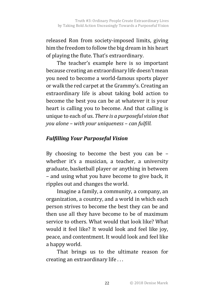released Ron from society-imposed limits, giving him the freedom to follow the big dream in his heart of playing the flute. That's extraordinary.

The teacher's example here is so important because creating an extraordinary life doesn't mean you need to become a world-famous sports player or walk the red carpet at the Grammy's. Creating an extraordinary life is about taking bold action to become the best you can be at whatever it is your heart is calling you to become. And that calling is unique to each of us. *There is a purposeful vision that you alone – with your uniqueness – can fulfill.*

### *Fulfilling Your Purposeful Vision*

By choosing to become the best you can be  $$ whether it's a musician, a teacher, a university graduate, basketball player or anything in between – and using what you have become to give back, it ripples out and changes the world.

Imagine a family, a community, a company, an organization, a country, and a world in which each person strives to become the best they can be and then use all they have become to be of maximum service to others. What would that look like? What would it feel like? It would look and feel like joy, peace, and contentment. It would look and feel like a happy world.

That brings us to the ultimate reason for creating an extraordinary life ...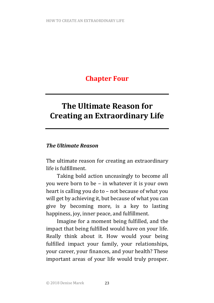# **Chapter Four**

# **The Illtimate Reason for Creating an Extraordinary Life**

### *The Ultimate Reason*

The ultimate reason for creating an extraordinary life is fulfillment.

Taking bold action unceasingly to become all you were born to be – in whatever it is your own heart is calling you do to  $-$  not because of what you will get by achieving it, but because of what you can give by becoming more, is a key to lasting happiness, joy, inner peace, and fulfillment.

Imagine for a moment being fulfilled, and the impact that being fulfilled would have on your life. Really think about it. How would your being fulfilled impact your family, your relationships, your career, your finances, and your health? These important areas of your life would truly prosper.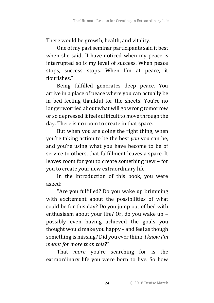There would be growth, health, and vitality.

One of my past seminar participants said it best when she said, "I have noticed when my peace is interrupted so is my level of success. When peace stops, success stops. When I'm at peace, it flourishes."

Being fulfilled generates deep peace. You arrive in a place of peace where you can actually be in bed feeling thankful for the sheets! You're no longer worried about what will go wrong tomorrow or so depressed it feels difficult to move through the day. There is no room to create in that space.

But when you are doing the right thing, when you're taking action to be the best *you* you can be, and you're using what you have become to be of service to others, that fulfillment leaves a space. It leaves room for you to create something new – for you to create your new extraordinary life.

In the introduction of this book, you were asked: 

"Are vou fulfilled? Do you wake up brimming with excitement about the possibilities of what could be for this day? Do you jump out of bed with enthusiasm about your life? Or, do you wake up possibly even having achieved the goals you thought would make you happy – and feel as though something is missing? Did you ever think, *I know I'm meant for more than this?"* 

That *more* you're searching for is the extraordinary life you were born to live. So how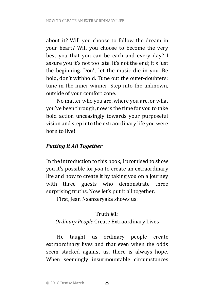about it? Will you choose to follow the dream in your heart? Will you choose to become the very best you that you can be each and every day? I assure you it's not too late. It's not the end; it's just the beginning. Don't let the music die in you. Be bold, don't withhold. Tune out the outer-doubters; tune in the inner-winner. Step into the unknown, outside of your comfort zone.

No matter who you are, where you are, or what you've been through, now is the time for you to take bold action unceasingly towards your purposeful vision and step into the extraordinary life you were born to live!

### **Putting It All Together**

In the introduction to this book, I promised to show you it's possible for *you* to create an extraordinary life and how to create it by taking you on a journey with three guests who demonstrate three surprising truths. Now let's put it all together.

First, Jean Nsanzeryaka shows us:

### Truth #1:

### **Ordinary People Create Extraordinary Lives**

He taught us ordinary people create extraordinary lives and that even when the odds seem stacked against us, there is always hope. When seemingly insurmountable circumstances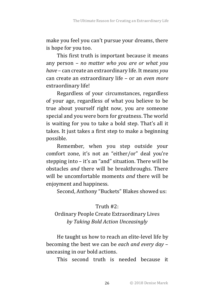make you feel you can't pursue your dreams, there is hope for you too.

This first truth is important because it means any person – *no matter who you are or what you have* – can create an extraordinary life. It means *you* can create an extraordinary life - or an *even more* extraordinary life!

Regardless of your circumstances, regardless of your age, regardless of what you believe to be true about yourself right now, you are someone special and you were born for greatness. The world is waiting for you to take a bold step. That's all it takes. It just takes a first step to make a beginning possible. 

Remember, when you step outside your comfort zone, it's not an "either/or" deal you're stepping into  $-$  it's an "and" situation. There will be obstacles and there will be breakthroughs. There will be uncomfortable moments *and* there will be enjoyment and happiness.

Second, Anthony "Buckets" Blakes showed us:

### Truth #2:

### Ordinary People Create Extraordinary Lives *by Taking Bold Action Unceasingly*

He taught us how to reach an elite-level life by becoming the best we can be *each and every day* unceasing in our bold actions.

This second truth is needed because it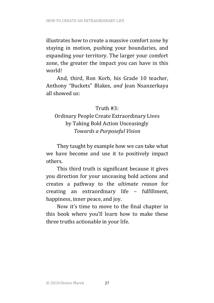illustrates how to create a massive comfort zone by staying in motion, pushing your boundaries, and expanding your territory. The larger your comfort zone, the greater the impact you can have in this world!

And, third, Ron Korb, his Grade 10 teacher, Anthony "Buckets" Blakes, and Jean Nsanzerkaya all showed us:

### Truth  $#3$ .

### Ordinary People Create Extraordinary Lives by Taking Bold Action Unceasingly *Towards a Purposeful Vision*

They taught by example how we can take what we have become and use it to positively impact others. 

This third truth is significant because it gives you direction for your unceasing bold actions and creates a pathway to the *ultimate reason* for creating an extraordinary life – fulfillment, happiness, inner peace, and joy.

Now it's time to move to the final chapter in this book where you'll learn how to make these three truths actionable in your life.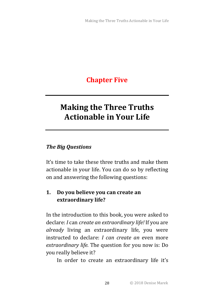# **Chapter Five**

# **Making the Three Truths Actionable in Your Life**

### *The Big Questions*

It's time to take these three truths and make them actionable in your life. You can do so by reflecting on and answering the following questions:

### **1.** Do you believe you can create an **extraordinary life?**

In the introduction to this book, you were asked to declare: *I* can *create an extraordinary life!* If you are already living an extraordinary life, you were instructed to declare: *I can create an* even more extraordinary life. The question for you now is: Do you really believe it?

In order to create an extraordinary life it's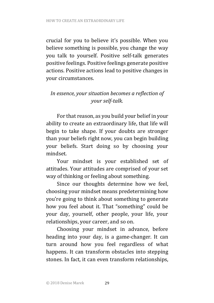crucial for you to believe it's possible. When you believe something is possible, you change the way you talk to vourself. Positive self-talk generates positive feelings. Positive feelings generate positive actions. Positive actions lead to positive changes in your circumstances.

### In essence, your situation becomes a reflection of *your self-talk.*

For that reason, as you build your belief in your ability to create an extraordinary life, that life will begin to take shape. If your doubts are stronger than your beliefs right now, you can begin building your beliefs. Start doing so by choosing your mindset. 

Your mindset is your established set of attitudes. Your attitudes are comprised of your set way of thinking or feeling about something.

Since our thoughts determine how we feel, choosing your mindset means predetermining how you're going to think about something to generate how you feel about it. That "something" could be your day, yourself, other people, your life, your relationships, your career, and so on.

Choosing your mindset in advance, before heading into your day, is a game-changer. It can turn around how you feel regardless of what happens. It can transform obstacles into stepping stones. In fact, it can even transform relationships,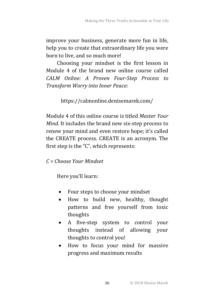improve your business, generate more fun in life, help you to create that extraordinary life you were born to live, and so much more!

Choosing your mindset is the first lesson in Module 4 of the brand new online course called *CALM Online: A Proven Four-Step Process to Transform Worry into Inner Peace:*

https://calmonline.denisemarek.com/

Module 4 of this online course is titled *Master Your Mind.* It includes the brand new six-step process to renew your mind and even restore hope; it's called the CREATE process. CREATE is an acronym. The first step is the " $C$ ", which represents:

### *C = Choose Your Mindset*

Here you'll learn:

- Four steps to choose your mindset
- How to build new, healthy, thought patterns and free yourself from toxic thoughts
- A five-step system to control your thoughts instead of allowing your thoughts to control you!
- How to focus your mind for massive progress and maximum results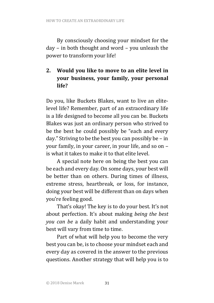By consciously choosing your mindset for the day – in both thought and word – you unleash the power to transform your life!

### 2. Would you like to move to an elite level in **your business, your family, your personal life?**

Do you, like Buckets Blakes, want to live an elitelevel life? Remember, part of an extraordinary life is a life designed to become all you can be. Buckets Blakes was just an ordinary person who strived to be the best he could possibly be "each and every day." Striving to be the best you can possibly be  $-$  in your family, in your career, in your life, and so on is what it takes to make it to that elite level

A special note here on being the best you can be each and every day. On some days, your best will be better than on others. During times of illness, extreme stress, heartbreak, or loss, for instance, doing your best will be different than on days when you're feeling good.

That's okay! The key is to do your best. It's not about perfection. It's about making *being the best you* can be a daily habit and understanding your best will vary from time to time.

Part of what will help you to become the very best you can be, is to choose your mindset each and every day as covered in the answer to the previous questions. Another strategy that will help you is to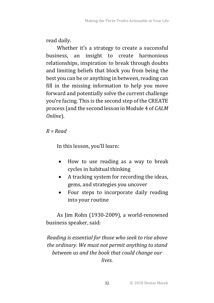read daily. 

Whether it's a strategy to create a successful business, an insight to create harmonious relationships, inspiration to break through doubts and limiting beliefs that block you from being the best you can be or anything in between, reading can fill in the missing information to help you move forward and potentially solve the current challenge you're facing. This is the second step of the CREATE process (and the second lesson in Module 4 of *CALM Online*).

*R = Read*

In this lesson, you'll learn:

- How to use reading as a way to break cycles in habitual thinking
- A tracking system for recording the ideas, gems, and strategies you uncover
- Four steps to incorporate daily reading into your routine

As Jim Rohn (1930-2009), a world-renowned business speaker, said:

*Reading is essential for those who seek to rise above* the ordinary. We must not permit anything to stand between us and the book that could change our *lives.*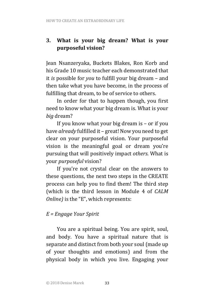### **3.** What is your big dream? What is your purposeful vision?

Jean Nsanzeryaka, Buckets Blakes, Ron Korb and his Grade 10 music teacher each demonstrated that it *is* possible for *you* to fulfill your big dream – and then take what you have become, in the process of fulfilling that dream, to be of service to others.

In order for that to happen though, you first need to know what your big dream is. What is your *big* dream? 

If you know what your big dream is  $-$  or if you have *already* fulfilled it – great! Now you need to get clear on your purposeful vision. Your purposeful vision is the meaningful goal or dream you're pursuing that will positively impact *others*. What is your *purposeful* vision?

If you're not crystal clear on the answers to these questions, the next two steps in the CREATE process can help you to find them! The third step (which is the third lesson in Module 4 of *CALM Online*) is the "E", which represents:

### *E = Engage Your Spirit*

You are a spiritual being. You are spirit, soul. and body. You have a spiritual nature that is separate and distinct from both your soul (made up of your thoughts and emotions) and from the physical body in which you live. Engaging your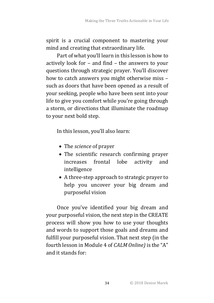spirit is a crucial component to mastering your mind and creating that extraordinary life.

Part of what you'll learn in this lesson is how to actively look for  $-$  and find  $-$  the answers to your questions through strategic prayer. You'll discover how to catch answers you might otherwise miss such as doors that have been opened as a result of your seeking, people who have been sent into your life to give you comfort while you're going through a storm, or directions that illuminate the roadmap to your next bold step.

In this lesson, you'll also learn:

- The *science* of prayer
- The scientific research confirming prayer increases frontal lobe activity and intelligence
- A three-step approach to strategic prayer to help you uncover your big dream and purposeful vision

Once you've identified your big dream and your purposeful vision, the next step in the CREATE process will show you how to use your thoughts and words to support those goals and dreams and fulfill your purposeful vision. That next step (in the fourth lesson in Module 4 of *CALM Online*) is the "A" and it stands for: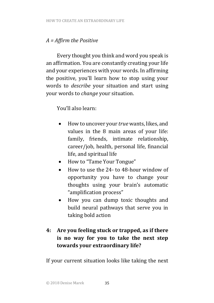### *A = Affirm the Positive*

Every thought you think and word you speak is an affirmation. You are constantly creating your life and your experiences with your words. In affirming the positive, you'll learn how to stop using your words to *describe* your situation and start using your words to *change* your situation.

You'll also learn:

- How to uncover your *true* wants, likes, and values in the 8 main areas of your life: family, friends, intimate relationship, career/job, health, personal life, financial life, and spiritual life
- How to "Tame Your Tongue"
- How to use the 24- to 48-hour window of opportunity you have to change your thoughts using your brain's automatic "amplification process"
- How you can dump toxic thoughts and build neural pathways that serve you in taking bold action

### **4:** Are you feeling stuck or trapped, as if there **is** no way for you to take the next step **towards your extraordinary life?**

If your current situation looks like taking the next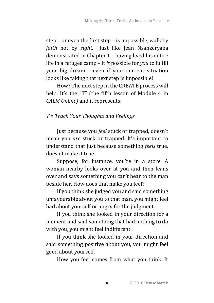step – or even the first step – is impossible, walk by *faith* not by *sight*. Just like Jean Nsanzeryaka demonstrated in Chapter 1 – having lived his entire life in a refugee camp – it *is* possible for *you* to fulfill your big dream – even if your current situation looks like taking that next step is impossible!

How? The next step in the CREATE process will help. It's the "T" (the fifth lesson of Module 4 in *CALM Online*) and it represents:

### *T = Track Your Thoughts and Feelings*

Just because you *feel* stuck or trapped, doesn't mean you *are* stuck or trapped. It's important to understand that just because something *feels* true, doesn't make it true.

Suppose, for instance, vou're in a store. A woman nearby looks over at you and then leans over and says something you can't hear to the man beside her. How does that make you feel?

If you think she judged you and said something unfavourable about you to that man, you might feel bad about yourself or angry for the judgment.

If you think she looked in your direction for a moment and said something that had nothing to do with you, you might feel indifferent.

If you think she looked in your direction and said something positive about you, you might feel good about yourself.

How you feel comes from what you think. It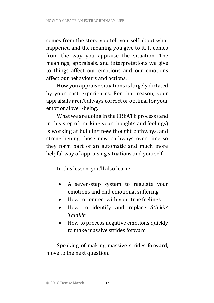comes from the story you tell yourself about what happened and the meaning you give to it. It comes from the way you appraise the situation. The meanings, appraisals, and interpretations we give to things affect our emotions and our emotions affect our behaviours and actions.

How you appraise situations is largely dictated by your past experiences. For that reason, your appraisals aren't always correct or optimal for your emotional well-being.

What we are doing in the CREATE process (and in this step of tracking your thoughts and feelings) is working at building new thought pathways, and strengthening those new pathways over time so they form part of an automatic and much more helpful way of appraising situations and yourself.

In this lesson, you'll also learn:

- A seven-step system to regulate your emotions and end emotional suffering
- How to connect with your true feelings
- How to identify and replace *Stinkin' Thinkin'*
- How to process negative emotions quickly to make massive strides forward

Speaking of making massive strides forward, move to the next question.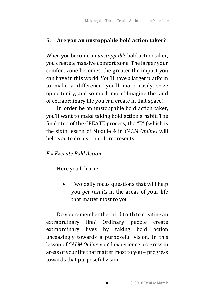### **5.** Are you an unstoppable bold action taker?

When you become an *unstoppable* bold action taker. you create a massive comfort zone. The larger your comfort zone becomes, the greater the impact you can have in this world. You'll have a larger platform to make a difference, you'll more easily seize opportunity, and so much more! Imagine the kind of extraordinary life you can create in that space!

In order be an unstoppable bold action taker, you'll want to make taking bold action a habit. The final step of the CREATE process, the "E" (which is the sixth lesson of Module 4 in *CALM Online*) will help you to do just that. It represents:

### $F =$  *Execute* Bold *Action*

Here you'll learn:

• Two daily focus questions that will help you *get results* in the areas of your life that matter most to you

Do you remember the third truth to creating an extraordinary life? Ordinary people create extraordinary lives by taking bold action unceasingly towards a purposeful vision. In this lesson of *CALM Online* you'll experience progress in areas of your life that matter most to you – progress towards that purposeful vision.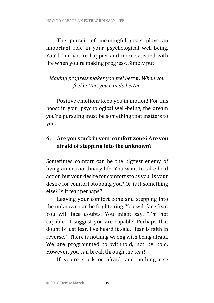The pursuit of meaningful goals plays an important role in your psychological well-being. You'll find you're happier and more satisfied with life when you're making progress. Simply put:

### *Making progress makes you feel better. When you feel better, you can do better.*

Positive emotions keep you in motion! For this boost in your psychological well-being, the dream you're pursuing must be something that matters to you. 

### **6.** Are you stuck in your comfort zone? Are you afraid of stepping into the unknown?

Sometimes comfort can be the biggest enemy of living an extraordinary life. You want to take bold action but your desire for comfort stops you. Is your desire for comfort stopping you? Or is it something else? Is it fear perhaps?

Leaving your comfort zone and stepping into the unknown can be frightening. You will face fear. You will face doubts. You might say, "I'm not capable." I suggest you are capable! Perhaps that doubt is just fear. I've heard it said, "fear is faith in reverse." There is nothing wrong with being afraid. We are programmed to withhold, not be bold. However, you can break through the fear!

If you're stuck or afraid, and nothing else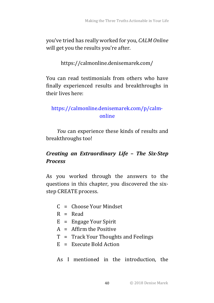you've tried has really worked for you, *CALM Online* will get you the results you're after.

https://calmonline.denisemarek.com/

You can read testimonials from others who have finally experienced results and breakthroughs in their lives here:

### https://calmonline.denisemarek.com/p/calmonline

*You* can experience these kinds of results and breakthroughs too!

### *Creating an Extraordinary Life* **–** *The Six-Step Process*

As you worked through the answers to the questions in this chapter, you discovered the sixstep CREATE process.

- $C =$  Choose Your Mindset
- $R = Read$
- $E =$  Engage Your Spirit
- $A =$  Affirm the Positive
- $T =$  Track Your Thoughts and Feelings
- $E =$  Execute Bold Action

As I mentioned in the introduction, the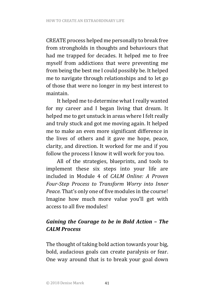CREATE process helped me personally to break free from strongholds in thoughts and behaviours that had me trapped for decades. It helped me to free myself from addictions that were preventing me from being the best me I could possibly be. It helped me to navigate through relationships and to let go of those that were no longer in my best interest to maintain. 

It helped me to determine what I really wanted for my career and I began living that dream. It helped me to get unstuck in areas where I felt really and truly stuck and got me moving again. It helped me to make an even more significant difference in the lives of others and it gave me hope, peace, clarity, and direction. It worked for me and if you follow the process I know it will work for you too.

All of the strategies, blueprints, and tools to implement these six steps into your life are included in Module 4 of *CALM Online:* A Proven *Four-Step Process to Transform Worry into Inner Peace.* That's only one of five modules in the course! Imagine how much more value you'll get with access to all five modules!

### *Gaining the Courage to be in Bold Action* – *The CALM Process*

The thought of taking bold action towards your big, bold, audacious goals can create paralysis or fear. One way around that is to break your goal down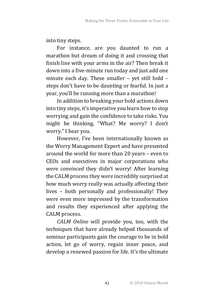into tiny steps.

For instance, are you daunted to run a marathon but dream of doing it and crossing that finish line with your arms in the air? Then break it down into a five-minute run today and just add one minute each day. These smaller  $-$  yet still bold  $$ steps don't have to be daunting or fearful. In just a year, you'll be running more than a marathon!

In addition to breaking your bold actions down into tiny steps, it's imperative you learn how to stop worrying and gain the confidence to take risks. You might be thinking, "What? Me worry? I don't worry." I hear you.

However, I've been internationally known as the Worry Management Expert and have presented around the world for more than 20 years - even to CEOs and executives in major corporations who were *convinced* they didn't worry! After learning the CALM process they were incredibly surprised at how much worry really was actually affecting their lives - both personally and professionally! They were even more impressed by the transformation and results they experienced after applying the CALM process.

*CALM Online* will provide you, too, with the techniques that have already helped thousands of seminar participants gain the courage to be in bold action, let go of worry, regain inner peace, and develop a renewed passion for life. It's the ultimate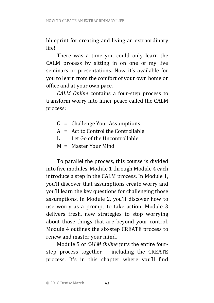blueprint for creating and living an extraordinary life!

There was a time you could only learn the CALM process by sitting in on one of my live seminars or presentations. Now it's available for you to learn from the comfort of your own home or office and at your own pace.

*CALM Online* contains a four-step process to transform worry into inner peace called the CALM process: 

- $C =$  Challenge Your Assumptions
- $A = Act to Control the Controlable$
- $L = Let Go of the Uncontrollabel$
- $M =$  Master Your Mind

To parallel the process, this course is divided into five modules. Module 1 through Module 4 each introduce a step in the CALM process. In Module 1, you'll discover that assumptions create worry and you'll learn the key questions for challenging those assumptions. In Module 2, you'll discover how to use worry as a prompt to take action. Module 3 delivers fresh, new strategies to stop worrying about those things that are beyond your control. Module 4 outlines the six-step CREATE process to renew and master your mind.

Module 5 of *CALM Online* puts the entire fourstep process together  $-$  including the CREATE process. It's in this chapter where you'll find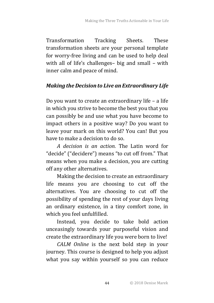Transformation Tracking Sheets. These transformation sheets are your personal template for worry-free living and can be used to help deal with all of life's challenges- big and small  $-$  with inner calm and peace of mind.

### *Making the Decision to Live an Extraordinary Life*

Do you want to create an extraordinary life – a life in which you strive to become the best you that you can possibly be and use what you have become to impact others in a positive way? Do you want to leave your mark on this world? You can! But you have to make a decision to do so.

*A decision is an action.* The Latin word for "decide" ("decidere") means "to cut off from." That means when you make a decision, you are cutting off any other alternatives.

Making the decision to create an extraordinary life means you are choosing to cut off the alternatives. You are choosing to cut off the possibility of spending the rest of your days living an ordinary existence, in a tiny comfort zone, in which you feel unfulfilled.

Instead, you decide to take bold action unceasingly towards your purposeful vision and create the extraordinary life you were born to live!

*CALM Online* is the next bold step in your journey. This course is designed to help you adjust what you say within yourself so you can reduce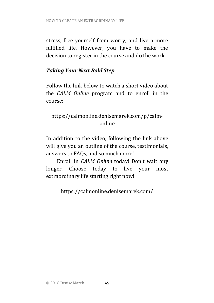stress, free yourself from worry, and live a more fulfilled life. However, you have to make the decision to register in the course and do the work.

### *Taking Your Next Bold Step*

Follow the link below to watch a short video about the *CALM Online* program and to enroll in the course:

### https://calmonline.denisemarek.com/p/calmonline

In addition to the video, following the link above will give you an outline of the course, testimonials, answers to FAQs, and so much more!

Enroll in *CALM Online* today! Don't wait any longer. Choose today to live your most extraordinary life starting right now!

https://calmonline.denisemarek.com/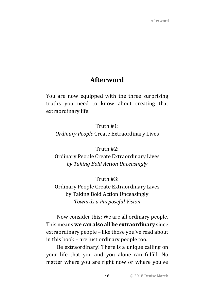### **Afterword**

You are now equipped with the three surprising truths you need to know about creating that extraordinary life:

Truth  $#1$ : *Ordinary People* Create Extraordinary Lives

Truth #2:

Ordinary People Create Extraordinary Lives *by Taking Bold Action Unceasingly*

Truth  $#3$ :

Ordinary People Create Extraordinary Lives by Taking Bold Action Unceasingly *Towards a Purposeful Vision*

Now consider this: We are all ordinary people. This means **we can also all be extraordinary** since extraordinary people – like those you've read about in this book – are just ordinary people too.

Be extraordinary! There is a unique calling on your life that you and you alone can fulfill. No matter where you are right now or where you've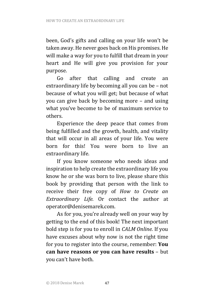been, God's gifts and calling on your life won't be taken away. He never goes back on His promises. He will make a way for you to fulfill that dream in your heart and He will give you provision for your purpose.

Go after that calling and create an extraordinary life by becoming all you can be – not because of what you will get; but because of what you can give back by becoming more  $-$  and using what you've become to be of maximum service to others. 

Experience the deep peace that comes from being fulfilled and the growth, health, and vitality that will occur in all areas of your life. You were born for this! You were born to live an extraordinary life.

If you know someone who needs ideas and inspiration to help create the extraordinary life you know he or she was born to live, please share this book by providing that person with the link to receive their free copy of *How to Create an Extraordinary Life.* Or contact the author at operator@denisemarek.com.

As for you, you're already well on your way by getting to the end of this book! The next important bold step is for you to enroll in *CALM Online*. If you have excuses about why now is not the right time for you to register into the course, remember: You **can have reasons or you can have results** - but you can't have both.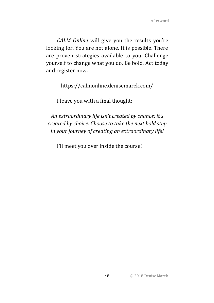*CALM Online* will give you the results you're looking for. You are not alone. It is possible. There are proven strategies available to you. Challenge yourself to change what you do. Be bold. Act today and register now.

https://calmonline.denisemarek.com/

I leave you with a final thought:

An extraordinary life isn't created by chance; it's *created by choice. Choose to take the next bold step* in your journey of creating an extraordinary life!

I'll meet you over inside the course!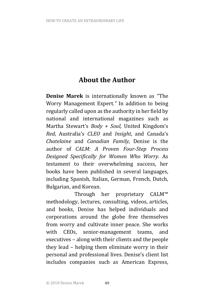# **About the Author**

**Denise Marek** is internationally known as "The Worry Management Expert." In addition to being regularly called upon as the authority in her field by national and international magazines such as Martha Stewart's *Body + Soul*, United Kingdom's *Red*, Australia's *CLEO*  and *Insight*, and Canada's *Chatelaine*  and *Canadian Family*, Denise is the author of *CALM: A Proven Four-Step Process Designed Specifically for Women Who Worry.*  As testament to their overwhelming success, her books have been published in several languages, including Spanish, Italian, German, French, Dutch, Bulgarian, and Korean.

Through her proprietary CALM™ methodology, lectures, consulting, videos, articles, and books, Denise has helped individuals and corporations around the globe free themselves from worry and cultivate inner peace. She works with CEOs, senior-management teams, and executives – along with their clients and the people they lead – helping them eliminate worry in their personal and professional lives. Denise's client list includes companies such as American Express,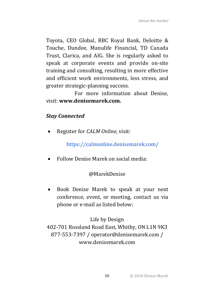Toyota, CEO Global, RBC Royal Bank, Deloitte & Touche, Dundee, Manulife Financial, TD Canada Trust, Clarica, and AIG. She is regularly asked to speak at corporate events and provide on-site training and consulting, resulting in more effective and efficient work environments, less stress, and greater strategic-planning success.

For more information about Denise. visit: **www.denisemarek.com.**

### *Stay Connected*

Register for *CALM Online*, visit:

https://calmonline.denisemarek.com/

• Follow Denise Marek on social media:

### @MarekDenise

• Book Denise Marek to speak at your next conference, event, or meeting, contact us via phone or e-mail as listed below:

### Life by Design

402-701 Rossland Road East, Whitby, ON L1N 9K3 877-553-7397 / operator@denisemarek.com / www.denisemarek.com